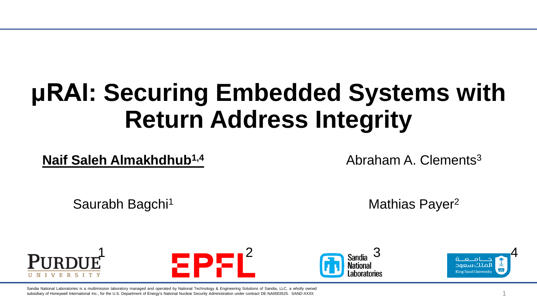# **μRAI: Securing Embedded Systems with Return Address Integrity**

**Naif Saleh Almakhdhub1,4**

Abraham A. Clements<sup>3</sup>

Saurabh Bagchi<sup>1</sup> Mathias Payer<sup>2</sup>







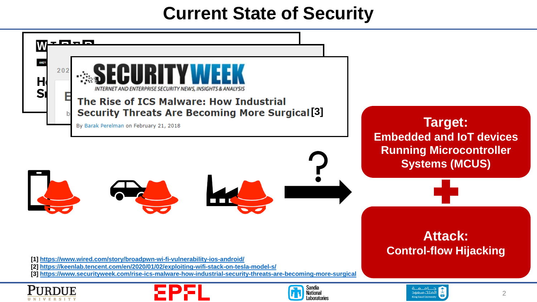#### **Current State of Security**

| aac<br><b>ANDY</b><br>202<br>H<br>INTERNET AND ENTERPRISE SECURITY NEWS, INSIGHTS & ANALYSIS<br><b>S</b>                                                                                                                                                                           |                                                                                                              |
|------------------------------------------------------------------------------------------------------------------------------------------------------------------------------------------------------------------------------------------------------------------------------------|--------------------------------------------------------------------------------------------------------------|
| E<br>The Rise of ICS Malware: How Industrial<br><b>Security Threats Are Becoming More Surgical [3]</b><br>By Barak Perelman on February 21, 2018                                                                                                                                   | <b>Target:</b><br><b>Embedded and IoT devices</b><br><b>Running Microcontroller</b><br><b>Systems (MCUS)</b> |
|                                                                                                                                                                                                                                                                                    |                                                                                                              |
| [1] https://www.wired.com/story/broadpwn-wi-fi-vulnerability-ios-android/<br>[2] https://keenlab.tencent.com/en/2020/01/02/exploiting-wifi-stack-on-tesla-model-s/<br>[3] https://www.securityweek.com/rise-ics-malware-how-industrial-security-threats-are-becoming-more-surgical | <b>Attack:</b><br><b>Control-flow Hijacking</b>                                                              |
| <b>Sandia</b><br><b>National</b><br><b>Laboratories</b>                                                                                                                                                                                                                            | ام جمعة<br>لملك سعود<br>$\overline{2}$                                                                       |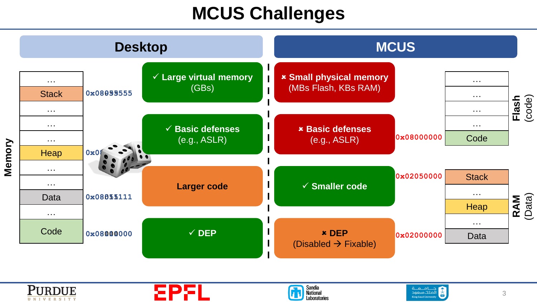#### **MCUS Challenges**

| <b>Desktop</b>                                 |            | <b>MCUS</b>                                                     |                                                        |            |                                               |                 |
|------------------------------------------------|------------|-----------------------------------------------------------------|--------------------------------------------------------|------------|-----------------------------------------------|-----------------|
| $\sim 100$<br><b>Stack</b>                     | 0x08099555 | ш<br>$\checkmark$ Large virtual memory<br>$\mathbf{I}$<br>(GBs) | <b>* Small physical memory</b><br>(MBs Flash, KBs RAM) |            | $\sim 100$ km $^{-1}$<br>$\sim 100$ m $^{-1}$ |                 |
| $\sim 100$<br>$\sim 100$<br>$\sim 100$<br>Heap | 0x0        | $\checkmark$ Basic defenses<br>(e.g., ASLR)                     | <b>× Basic defenses</b><br>(e.g., ASLR)                | 0x08000000 | $\sim 100$<br>a a an<br>Code                  | (code)<br>Flash |
| $\sim 100$<br>$\sim 100$<br>Data               | 0x08855111 | <b>Larger code</b>                                              | $\checkmark$ Smaller code                              | 0x02050000 | <b>Stack</b><br>$\sim 100$<br>Heap            | RAM<br>(Data)   |
| $\sim 100$<br>Code                             | 0x08000000 | $\checkmark$ DEP                                                | <b>* DEP</b><br>(Disabled $\rightarrow$ Fixable)       | 0x02000000 | a a an<br>Data                                |                 |









**Memory**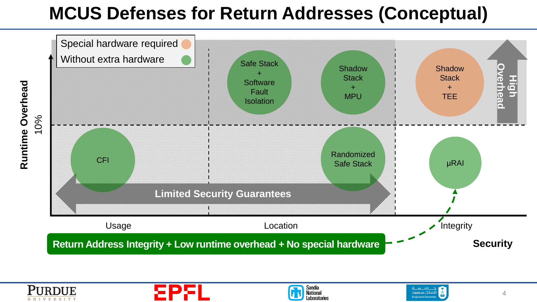### **MCUS Defenses for Return Addresses (Conceptual)**



![](_page_3_Picture_2.jpeg)

![](_page_3_Picture_3.jpeg)

![](_page_3_Picture_4.jpeg)

![](_page_3_Picture_5.jpeg)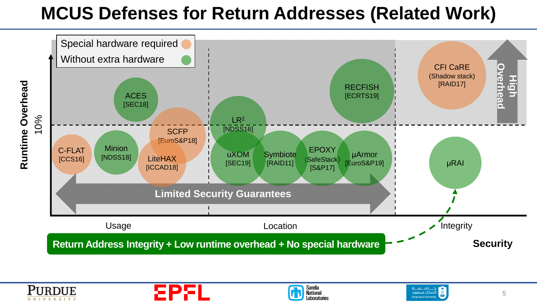### **MCUS Defenses for Return Addresses (Related Work)**

![](_page_4_Figure_1.jpeg)

![](_page_4_Picture_2.jpeg)

![](_page_4_Picture_3.jpeg)

![](_page_4_Picture_4.jpeg)

![](_page_4_Picture_5.jpeg)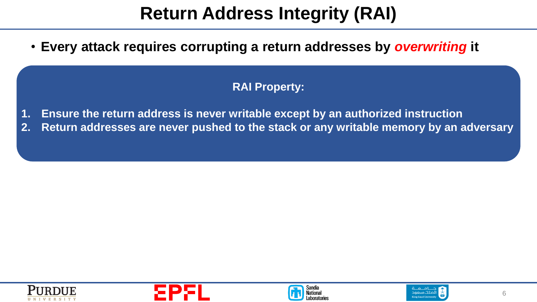## **Return Address Integrity (RAI)**

• **Every attack requires corrupting a return addresses by** *overwriting* **it**

#### • **Main limitation of defenses** → **return addresses are in writable memory RAI Property:**

- Example: Information hiding **1. Ensure the return address is never writable except by an authorized instruction**
- **2. Return addresses are never pushed to the stack or any writable memory by an adversary**

![](_page_5_Picture_5.jpeg)

![](_page_5_Picture_6.jpeg)

![](_page_5_Picture_7.jpeg)

![](_page_5_Picture_8.jpeg)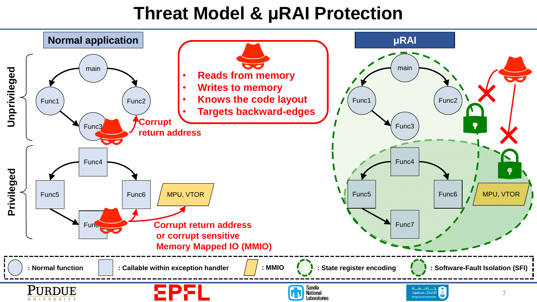#### **Threat Model & μRAI Protection**

![](_page_6_Figure_1.jpeg)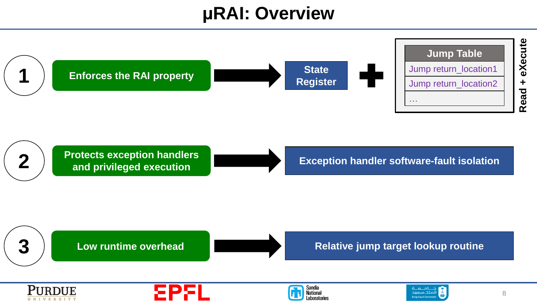#### **μRAI: Overview**

![](_page_7_Figure_1.jpeg)

![](_page_7_Figure_2.jpeg)

![](_page_7_Figure_3.jpeg)

**3 Low runtime overhead**

![](_page_7_Picture_5.jpeg)

**Relative jump target lookup routine**

![](_page_7_Picture_7.jpeg)

![](_page_7_Picture_8.jpeg)

![](_page_7_Picture_9.jpeg)

![](_page_7_Picture_10.jpeg)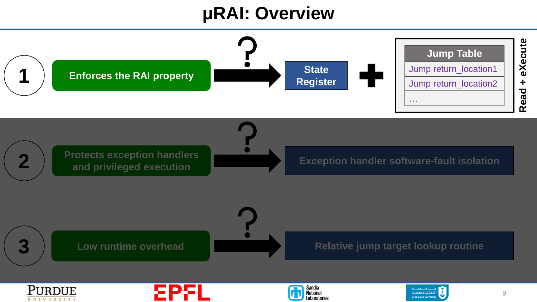#### **μRAI: Overview**

![](_page_8_Figure_1.jpeg)

![](_page_8_Picture_2.jpeg)

![](_page_8_Picture_3.jpeg)

![](_page_8_Picture_4.jpeg)

![](_page_8_Picture_5.jpeg)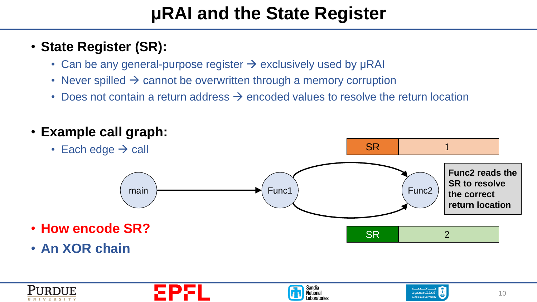### **μRAI and the State Register**

#### • **State Register (SR):**

- Can be any general-purpose register  $\rightarrow$  exclusively used by  $\mu$ RAI
- Never spilled  $\rightarrow$  cannot be overwritten through a memory corruption
- Does not contain a return address  $\rightarrow$  encoded values to resolve the return location

![](_page_9_Figure_5.jpeg)

![](_page_9_Picture_6.jpeg)

![](_page_9_Picture_7.jpeg)

![](_page_9_Picture_8.jpeg)

![](_page_9_Picture_9.jpeg)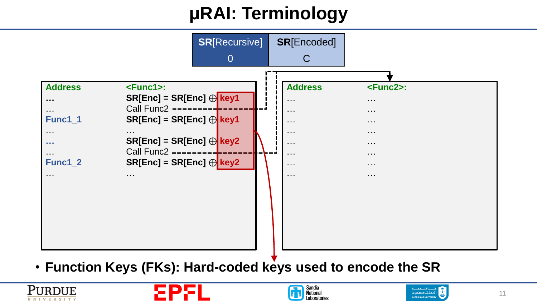## **μRAI: Terminology**

![](_page_10_Figure_1.jpeg)

• **Function Keys (FKs): Hard-coded keys used to encode the SR**

![](_page_10_Picture_3.jpeg)

![](_page_10_Picture_4.jpeg)

![](_page_10_Picture_5.jpeg)

![](_page_10_Picture_6.jpeg)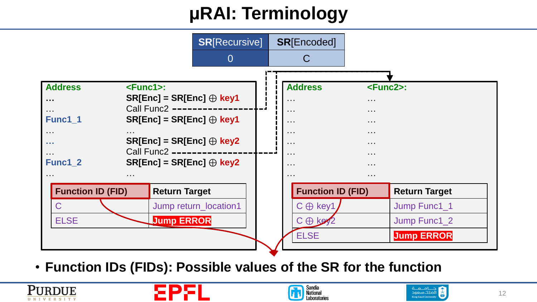## **μRAI: Terminology**

![](_page_11_Figure_1.jpeg)

• **Function IDs (FIDs): Possible values of the SR for the function**

![](_page_11_Picture_3.jpeg)

![](_page_11_Picture_4.jpeg)

![](_page_11_Picture_5.jpeg)

![](_page_11_Picture_6.jpeg)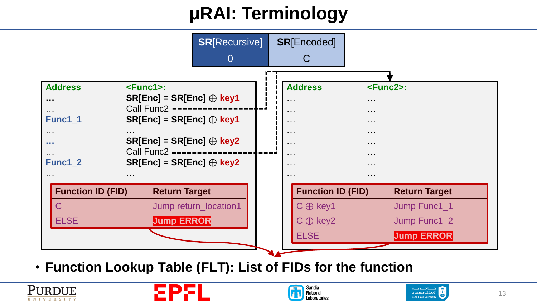## **μRAI: Terminology**

![](_page_12_Figure_1.jpeg)

• **Function Lookup Table (FLT): List of FIDs for the function**

![](_page_12_Picture_3.jpeg)

![](_page_12_Picture_4.jpeg)

![](_page_12_Picture_5.jpeg)

![](_page_12_Picture_6.jpeg)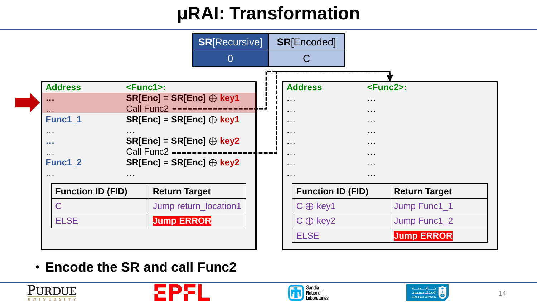![](_page_13_Figure_1.jpeg)

• **Encode the SR and call Func2**

![](_page_13_Picture_3.jpeg)

![](_page_13_Picture_4.jpeg)

![](_page_13_Picture_5.jpeg)

![](_page_13_Picture_6.jpeg)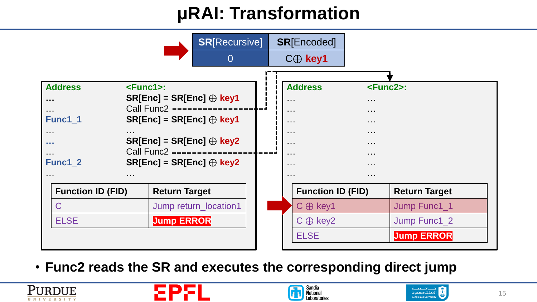![](_page_14_Figure_1.jpeg)

• **Func2 reads the SR and executes the corresponding direct jump**

![](_page_14_Picture_3.jpeg)

![](_page_14_Picture_4.jpeg)

![](_page_14_Picture_5.jpeg)

![](_page_14_Picture_6.jpeg)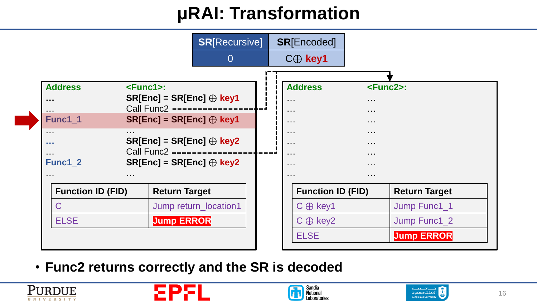![](_page_15_Figure_1.jpeg)

• **Func2 returns correctly and the SR is decoded**

![](_page_15_Picture_3.jpeg)

![](_page_15_Picture_4.jpeg)

![](_page_15_Picture_5.jpeg)

![](_page_15_Picture_6.jpeg)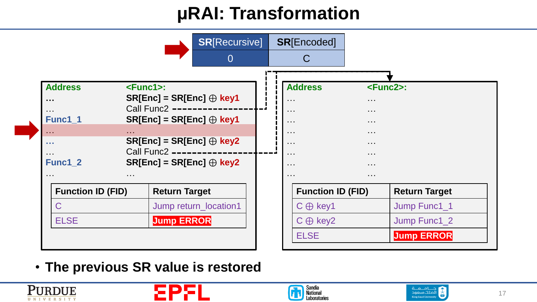![](_page_16_Figure_1.jpeg)

• **The previous SR value is restored**

![](_page_16_Picture_3.jpeg)

![](_page_16_Picture_4.jpeg)

![](_page_16_Picture_5.jpeg)

![](_page_16_Picture_6.jpeg)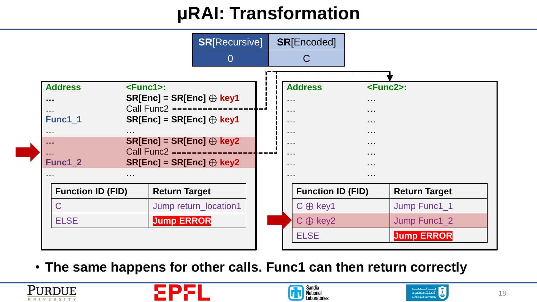![](_page_17_Figure_1.jpeg)

• **The same happens for other calls. Func1 can then return correctly**

![](_page_17_Picture_3.jpeg)

![](_page_17_Picture_4.jpeg)

![](_page_17_Picture_5.jpeg)

![](_page_17_Picture_6.jpeg)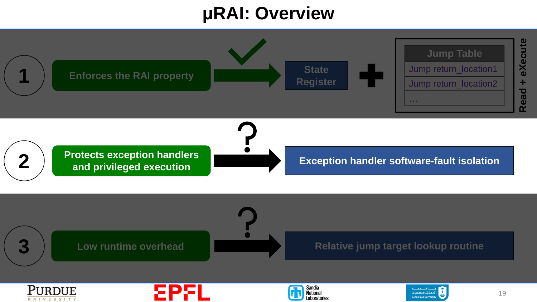#### **μRAI: Overview**

![](_page_18_Figure_1.jpeg)

**UNIVERSITY** 

الملك سعود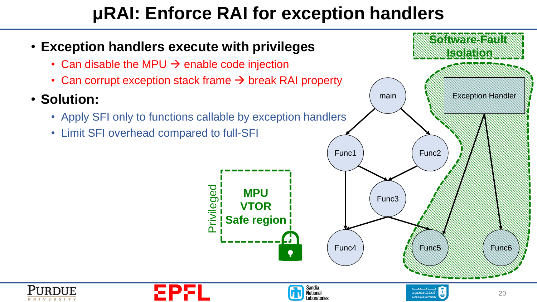### **μRAI: Enforce RAI for exception handlers**

**Software-Fault** • **Exception handlers execute with privileges Isolation**• Can disable the MPU  $\rightarrow$  enable code injection • Can corrupt exception stack frame  $\rightarrow$  break RAI property main **New Exception Handler** • **Solution:** • Apply SFI only to functions callable by exception handlers • Limit SFI overhead compared to full-SFI Func1 Func2 Privileged **MPU** Func3 **VTOR Safe region** Func6 Func4 Rivers  $\bullet$ Sandia<br>National in o ni  $newfln$ 20 Laboratories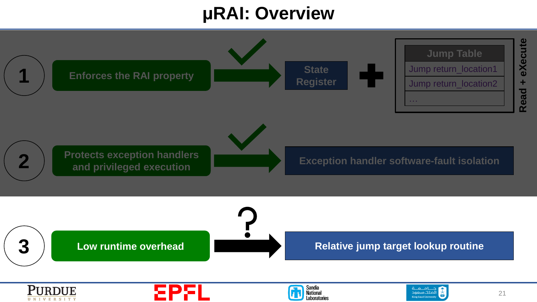#### **μRAI: Overview**

![](_page_20_Figure_1.jpeg)

**UNIVERSITY** 

King Saud Un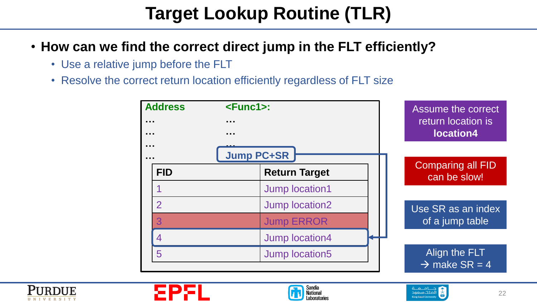## **Target Lookup Routine (TLR)**

- **How can we find the correct direct jump in the FLT efficiently?**
	- Use a relative jump before the FLT
	- Resolve the correct return location efficiently regardless of FLT size

![](_page_21_Figure_4.jpeg)

![](_page_21_Picture_5.jpeg)

![](_page_21_Picture_6.jpeg)

![](_page_21_Picture_7.jpeg)

![](_page_21_Picture_8.jpeg)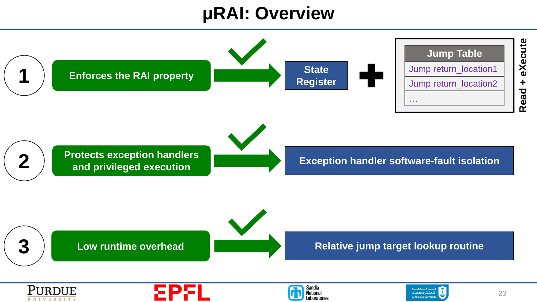#### **μRAI: Overview**

![](_page_22_Figure_1.jpeg)

![](_page_22_Picture_2.jpeg)

![](_page_22_Picture_3.jpeg)

![](_page_22_Picture_4.jpeg)

![](_page_22_Picture_5.jpeg)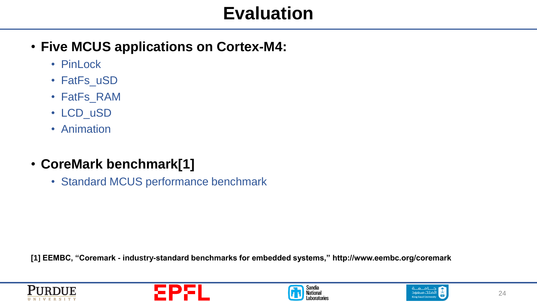#### **Evaluation**

- **Five MCUS applications on Cortex-M4:**
	- PinLock
	- FatFs\_uSD
	- FatFs\_RAM
	- LCD\_uSD
	- Animation
- **CoreMark benchmark[1]**
	- Standard MCUS performance benchmark

**[1] EEMBC, "Coremark - industry-standard benchmarks for embedded systems," http://www.eembc.org/coremark**

![](_page_23_Picture_10.jpeg)

![](_page_23_Picture_11.jpeg)

![](_page_23_Picture_12.jpeg)

![](_page_23_Picture_13.jpeg)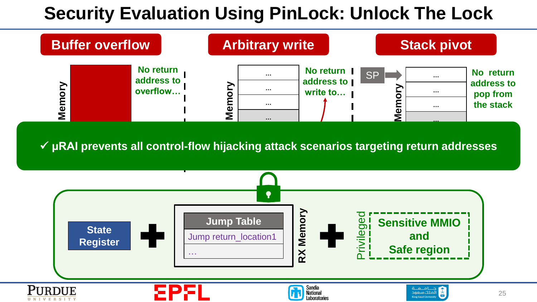### **Security Evaluation Using PinLock: Unlock The Lock**

![](_page_24_Figure_1.jpeg)

![](_page_24_Figure_3.jpeg)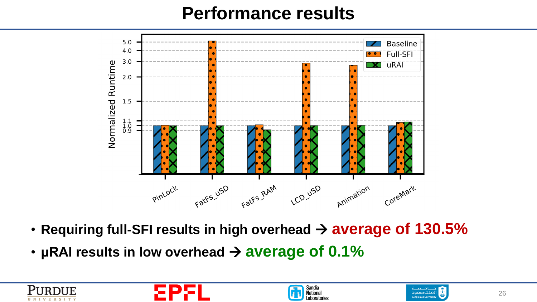#### **Performance results**

![](_page_25_Figure_1.jpeg)

- **Requiring full-SFI results in high overhead** → **average of 130.5%**
- **μRAI results in low overhead** → **average of 0.1%**

![](_page_25_Picture_4.jpeg)

![](_page_25_Picture_5.jpeg)

![](_page_25_Picture_6.jpeg)

![](_page_25_Picture_7.jpeg)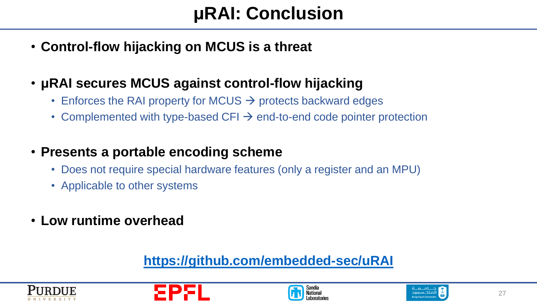- **Control-flow hijacking on MCUS is a threat**
- **μRAI secures MCUS against control-flow hijacking**
	- Enforces the RAI property for MCUS  $\rightarrow$  protects backward edges
	- Complemented with type-based CFI  $\rightarrow$  end-to-end code pointer protection
- **Presents a portable encoding scheme**
	- Does not require special hardware features (only a register and an MPU)
	- Applicable to other systems
- **Low runtime overhead**

#### **<https://github.com/embedded-sec/uRAI>**

![](_page_26_Picture_10.jpeg)

![](_page_26_Picture_11.jpeg)

![](_page_26_Picture_12.jpeg)

![](_page_26_Picture_13.jpeg)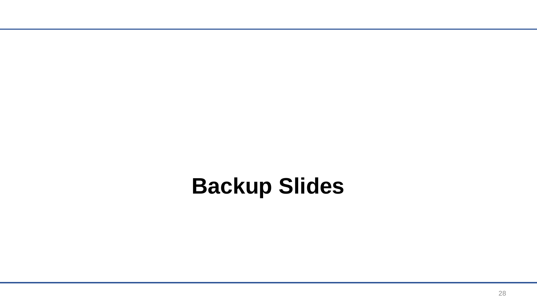# **Backup Slides**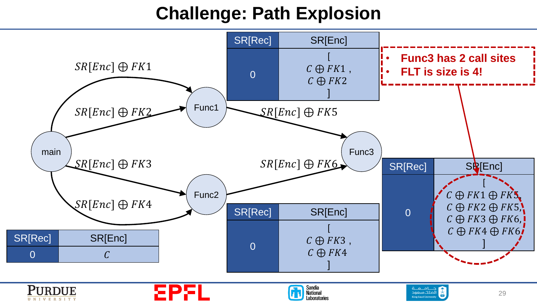### **Challenge: Path Explosion**

![](_page_28_Figure_1.jpeg)

**UNIVERSITY**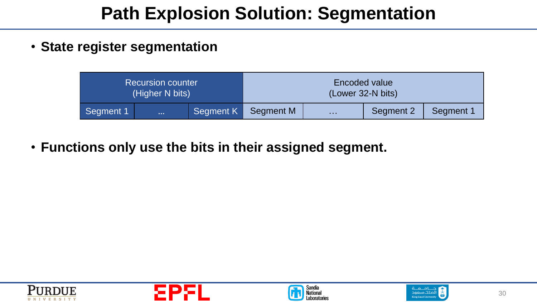### **Path Explosion Solution: Segmentation**

• **State register segmentation**

| <b>Recursion counter</b> |          | Encoded value     |           |                 |           |           |
|--------------------------|----------|-------------------|-----------|-----------------|-----------|-----------|
| (Higher N bits)          |          | (Lower 32-N bits) |           |                 |           |           |
| Segment 1                | $\cdots$ | Segment K         | Segment M | <b>Contract</b> | Segment 2 | Segment 1 |

• **Functions only use the bits in their assigned segment.**

![](_page_29_Picture_4.jpeg)

![](_page_29_Picture_5.jpeg)

![](_page_29_Picture_6.jpeg)

![](_page_29_Picture_7.jpeg)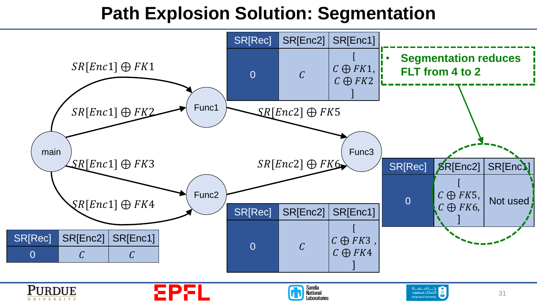### **Path Explosion Solution: Segmentation**

![](_page_30_Figure_1.jpeg)

![](_page_30_Picture_2.jpeg)

![](_page_30_Picture_3.jpeg)

![](_page_30_Picture_4.jpeg)

![](_page_30_Picture_5.jpeg)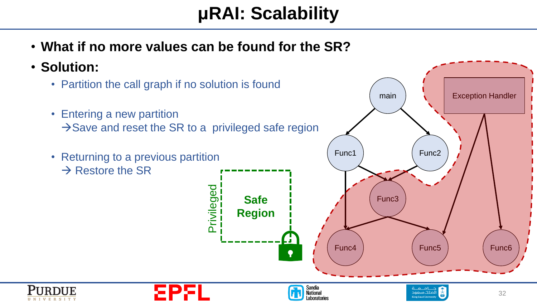### **μRAI: Scalability**

• **What if no more values can be found for the SR?**

• **Solution:**

- Partition the call graph if no solution is found
- Entering a new partition  $\rightarrow$  Save and reset the SR to a privileged safe region

Privileged

• Returning to a previous partition  $\rightarrow$  Restore the SR

![](_page_31_Picture_6.jpeg)

Laboratories

 $newfln$ 

32

![](_page_31_Picture_7.jpeg)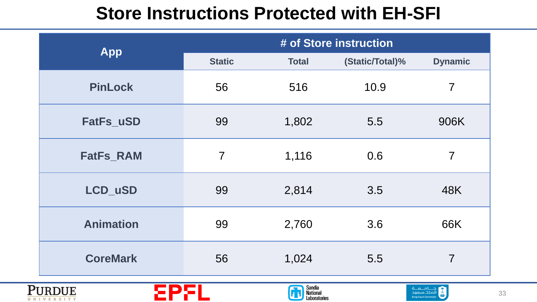### **Store Instructions Protected with EH-SFI**

| <b>App</b>          | # of Store instruction |                                    |                 |                          |  |
|---------------------|------------------------|------------------------------------|-----------------|--------------------------|--|
|                     | <b>Static</b>          | <b>Total</b>                       | (Static/Total)% | <b>Dynamic</b>           |  |
| <b>PinLock</b>      | 56                     | 516                                | 10.9            | $\overline{7}$           |  |
| FatFs_uSD           | 99                     | 1,802                              | 5.5             | 906K                     |  |
| <b>FatFs_RAM</b>    | $\overline{7}$         | 1,116                              | 0.6             | $\overline{7}$           |  |
| LCD_uSD             | 99                     | 2,814                              | 3.5             | 48K                      |  |
| <b>Animation</b>    | 99                     | 2,760                              | 3.6             | 66K                      |  |
| <b>CoreMark</b>     | 56                     | 1,024                              | 5.5             | $\overline{7}$           |  |
| U N I V E R S I T Y |                        | Sandia<br>National<br>Laboratories |                 | حــامــعــة<br>أملك سعود |  |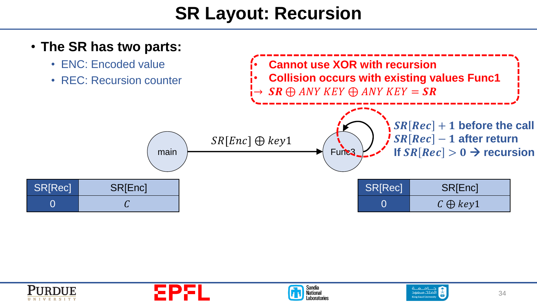### **SR Layout: Recursion**

![](_page_33_Figure_1.jpeg)

![](_page_33_Picture_2.jpeg)

![](_page_33_Picture_3.jpeg)

![](_page_33_Picture_4.jpeg)

![](_page_33_Picture_5.jpeg)